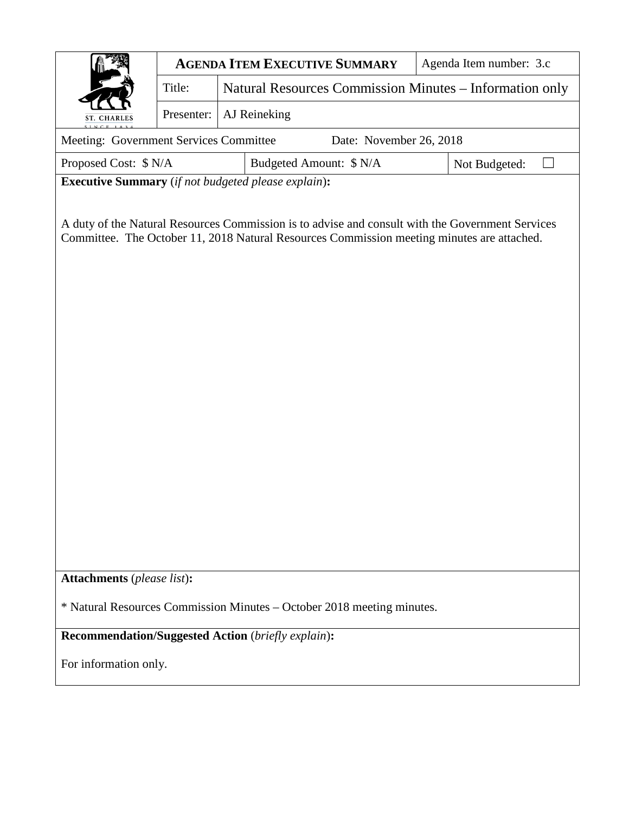|                                                                                                                                                                                                | <b>AGENDA ITEM EXECUTIVE SUMMARY</b> |                                                         |                         | Agenda Item number: 3.c |  |
|------------------------------------------------------------------------------------------------------------------------------------------------------------------------------------------------|--------------------------------------|---------------------------------------------------------|-------------------------|-------------------------|--|
|                                                                                                                                                                                                | Title:                               | Natural Resources Commission Minutes – Information only |                         |                         |  |
| ST. CHARLES                                                                                                                                                                                    | Presenter:                           | AJ Reineking                                            |                         |                         |  |
| Meeting: Government Services Committee<br>Date: November 26, 2018                                                                                                                              |                                      |                                                         |                         |                         |  |
| Proposed Cost: \$ N/A                                                                                                                                                                          |                                      |                                                         | Budgeted Amount: \$ N/A |                         |  |
| Executive Summary (if not budgeted please explain):                                                                                                                                            |                                      |                                                         |                         |                         |  |
| A duty of the Natural Resources Commission is to advise and consult with the Government Services<br>Committee. The October 11, 2018 Natural Resources Commission meeting minutes are attached. |                                      |                                                         |                         |                         |  |
| Attachments (please list):                                                                                                                                                                     |                                      |                                                         |                         |                         |  |
| * Natural Resources Commission Minutes - October 2018 meeting minutes.                                                                                                                         |                                      |                                                         |                         |                         |  |
| Recommendation/Suggested Action (briefly explain):                                                                                                                                             |                                      |                                                         |                         |                         |  |
| For information only.                                                                                                                                                                          |                                      |                                                         |                         |                         |  |
|                                                                                                                                                                                                |                                      |                                                         |                         |                         |  |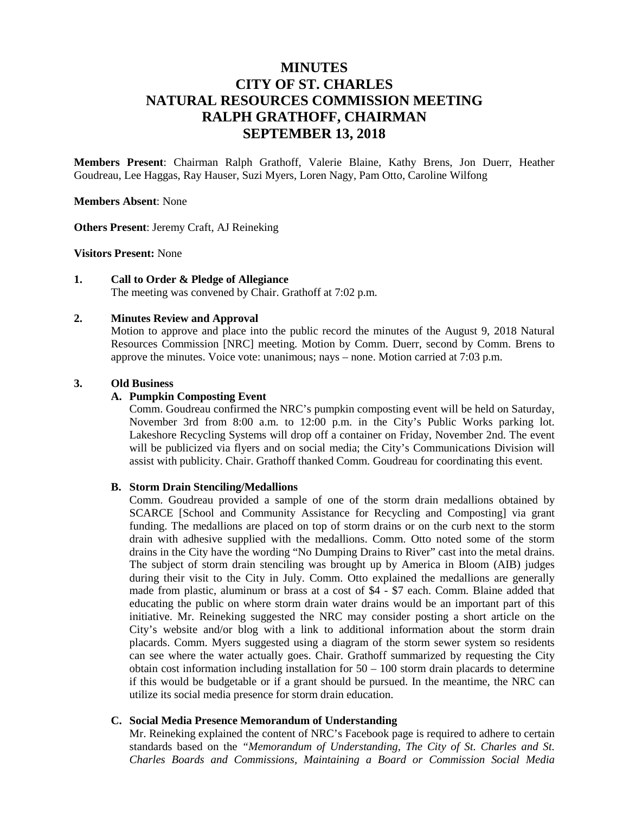# **MINUTES CITY OF ST. CHARLES NATURAL RESOURCES COMMISSION MEETING RALPH GRATHOFF, CHAIRMAN SEPTEMBER 13, 2018**

**Members Present**: Chairman Ralph Grathoff, Valerie Blaine, Kathy Brens, Jon Duerr, Heather Goudreau, Lee Haggas, Ray Hauser, Suzi Myers, Loren Nagy, Pam Otto, Caroline Wilfong

#### **Members Absent**: None

**Others Present**: Jeremy Craft, AJ Reineking

#### **Visitors Present:** None

#### **1. Call to Order & Pledge of Allegiance**

The meeting was convened by Chair. Grathoff at 7:02 p.m.

#### **2. Minutes Review and Approval**

Motion to approve and place into the public record the minutes of the August 9, 2018 Natural Resources Commission [NRC] meeting. Motion by Comm. Duerr, second by Comm. Brens to approve the minutes. Voice vote: unanimous; nays – none. Motion carried at 7:03 p.m.

#### **3. Old Business**

#### **A. Pumpkin Composting Event**

Comm. Goudreau confirmed the NRC's pumpkin composting event will be held on Saturday, November 3rd from 8:00 a.m. to 12:00 p.m. in the City's Public Works parking lot. Lakeshore Recycling Systems will drop off a container on Friday, November 2nd. The event will be publicized via flyers and on social media; the City's Communications Division will assist with publicity. Chair. Grathoff thanked Comm. Goudreau for coordinating this event.

#### **B. Storm Drain Stenciling/Medallions**

Comm. Goudreau provided a sample of one of the storm drain medallions obtained by SCARCE [School and Community Assistance for Recycling and Composting] via grant funding. The medallions are placed on top of storm drains or on the curb next to the storm drain with adhesive supplied with the medallions. Comm. Otto noted some of the storm drains in the City have the wording "No Dumping Drains to River" cast into the metal drains. The subject of storm drain stenciling was brought up by America in Bloom (AIB) judges during their visit to the City in July. Comm. Otto explained the medallions are generally made from plastic, aluminum or brass at a cost of \$4 - \$7 each. Comm. Blaine added that educating the public on where storm drain water drains would be an important part of this initiative. Mr. Reineking suggested the NRC may consider posting a short article on the City's website and/or blog with a link to additional information about the storm drain placards. Comm. Myers suggested using a diagram of the storm sewer system so residents can see where the water actually goes. Chair. Grathoff summarized by requesting the City obtain cost information including installation for  $50 - 100$  storm drain placards to determine if this would be budgetable or if a grant should be pursued. In the meantime, the NRC can utilize its social media presence for storm drain education.

#### **C. Social Media Presence Memorandum of Understanding**

Mr. Reineking explained the content of NRC's Facebook page is required to adhere to certain standards based on the *"Memorandum of Understanding, The City of St. Charles and St. Charles Boards and Commissions, Maintaining a Board or Commission Social Media*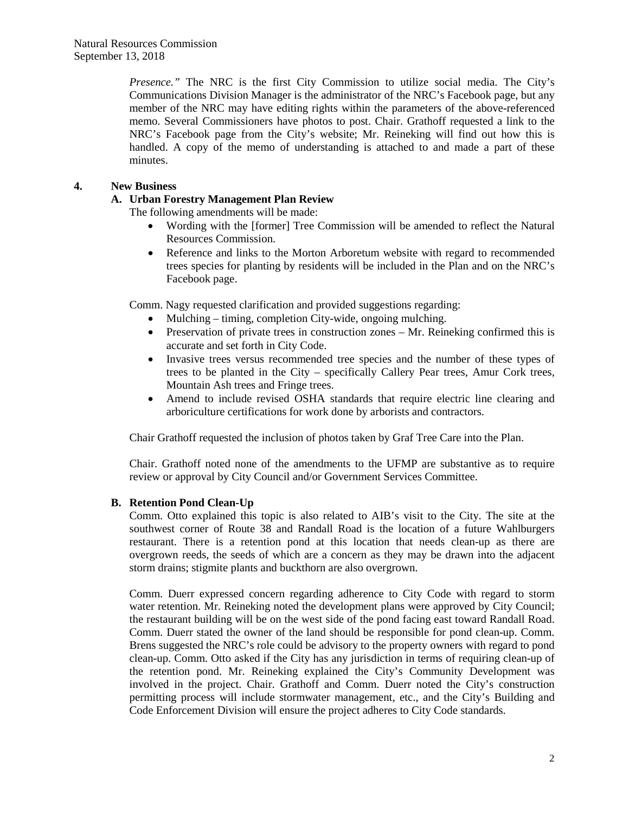*Presence.*" The NRC is the first City Commission to utilize social media. The City's Communications Division Manager is the administrator of the NRC's Facebook page, but any member of the NRC may have editing rights within the parameters of the above-referenced memo. Several Commissioners have photos to post. Chair. Grathoff requested a link to the NRC's Facebook page from the City's website; Mr. Reineking will find out how this is handled. A copy of the memo of understanding is attached to and made a part of these minutes.

### **4. New Business**

### **A. Urban Forestry Management Plan Review**

The following amendments will be made:

- Wording with the [former] Tree Commission will be amended to reflect the Natural Resources Commission.
- Reference and links to the Morton Arboretum website with regard to recommended trees species for planting by residents will be included in the Plan and on the NRC's Facebook page.

Comm. Nagy requested clarification and provided suggestions regarding:

- Mulching timing, completion City-wide, ongoing mulching.
- Preservation of private trees in construction zones Mr. Reineking confirmed this is accurate and set forth in City Code.
- Invasive trees versus recommended tree species and the number of these types of trees to be planted in the City – specifically Callery Pear trees, Amur Cork trees, Mountain Ash trees and Fringe trees.
- Amend to include revised OSHA standards that require electric line clearing and arboriculture certifications for work done by arborists and contractors.

Chair Grathoff requested the inclusion of photos taken by Graf Tree Care into the Plan.

Chair. Grathoff noted none of the amendments to the UFMP are substantive as to require review or approval by City Council and/or Government Services Committee.

### **B. Retention Pond Clean-Up**

Comm. Otto explained this topic is also related to AIB's visit to the City. The site at the southwest corner of Route 38 and Randall Road is the location of a future Wahlburgers restaurant. There is a retention pond at this location that needs clean-up as there are overgrown reeds, the seeds of which are a concern as they may be drawn into the adjacent storm drains; stigmite plants and buckthorn are also overgrown.

Comm. Duerr expressed concern regarding adherence to City Code with regard to storm water retention. Mr. Reineking noted the development plans were approved by City Council; the restaurant building will be on the west side of the pond facing east toward Randall Road. Comm. Duerr stated the owner of the land should be responsible for pond clean-up. Comm. Brens suggested the NRC's role could be advisory to the property owners with regard to pond clean-up. Comm. Otto asked if the City has any jurisdiction in terms of requiring clean-up of the retention pond. Mr. Reineking explained the City's Community Development was involved in the project. Chair. Grathoff and Comm. Duerr noted the City's construction permitting process will include stormwater management, etc., and the City's Building and Code Enforcement Division will ensure the project adheres to City Code standards.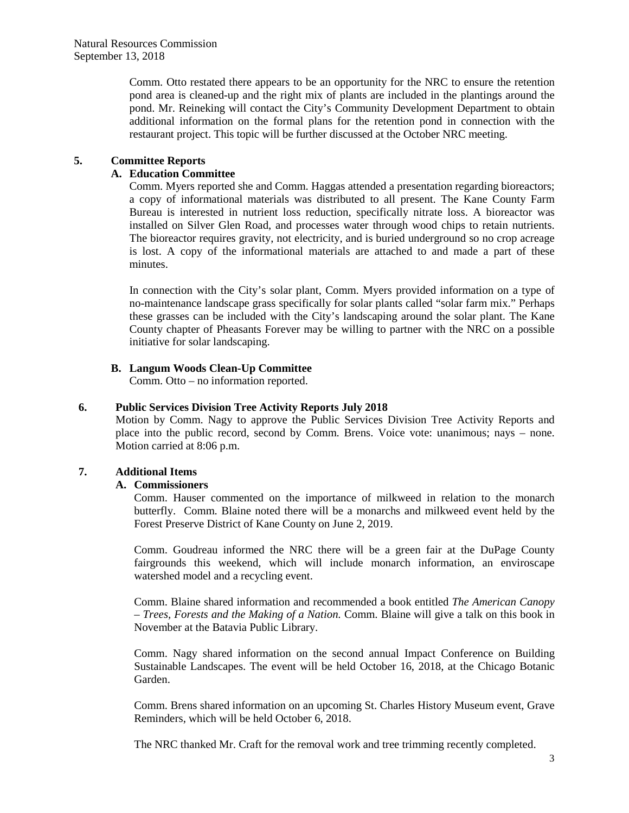Comm. Otto restated there appears to be an opportunity for the NRC to ensure the retention pond area is cleaned-up and the right mix of plants are included in the plantings around the pond. Mr. Reineking will contact the City's Community Development Department to obtain additional information on the formal plans for the retention pond in connection with the restaurant project. This topic will be further discussed at the October NRC meeting.

### **5. Committee Reports**

### **A. Education Committee**

Comm. Myers reported she and Comm. Haggas attended a presentation regarding bioreactors; a copy of informational materials was distributed to all present. The Kane County Farm Bureau is interested in nutrient loss reduction, specifically nitrate loss. A bioreactor was installed on Silver Glen Road, and processes water through wood chips to retain nutrients. The bioreactor requires gravity, not electricity, and is buried underground so no crop acreage is lost. A copy of the informational materials are attached to and made a part of these minutes.

In connection with the City's solar plant, Comm. Myers provided information on a type of no-maintenance landscape grass specifically for solar plants called "solar farm mix." Perhaps these grasses can be included with the City's landscaping around the solar plant. The Kane County chapter of Pheasants Forever may be willing to partner with the NRC on a possible initiative for solar landscaping.

### **B. Langum Woods Clean-Up Committee**

Comm. Otto – no information reported.

### **6. Public Services Division Tree Activity Reports July 2018**

Motion by Comm. Nagy to approve the Public Services Division Tree Activity Reports and place into the public record, second by Comm. Brens. Voice vote: unanimous; nays – none. Motion carried at 8:06 p.m.

### **7. Additional Items**

### **A. Commissioners**

Comm. Hauser commented on the importance of milkweed in relation to the monarch butterfly. Comm. Blaine noted there will be a monarchs and milkweed event held by the Forest Preserve District of Kane County on June 2, 2019.

Comm. Goudreau informed the NRC there will be a green fair at the DuPage County fairgrounds this weekend, which will include monarch information, an enviroscape watershed model and a recycling event.

Comm. Blaine shared information and recommended a book entitled *The American Canopy – Trees, Forests and the Making of a Nation.* Comm. Blaine will give a talk on this book in November at the Batavia Public Library.

Comm. Nagy shared information on the second annual Impact Conference on Building Sustainable Landscapes. The event will be held October 16, 2018, at the Chicago Botanic Garden.

Comm. Brens shared information on an upcoming St. Charles History Museum event, Grave Reminders, which will be held October 6, 2018.

The NRC thanked Mr. Craft for the removal work and tree trimming recently completed.